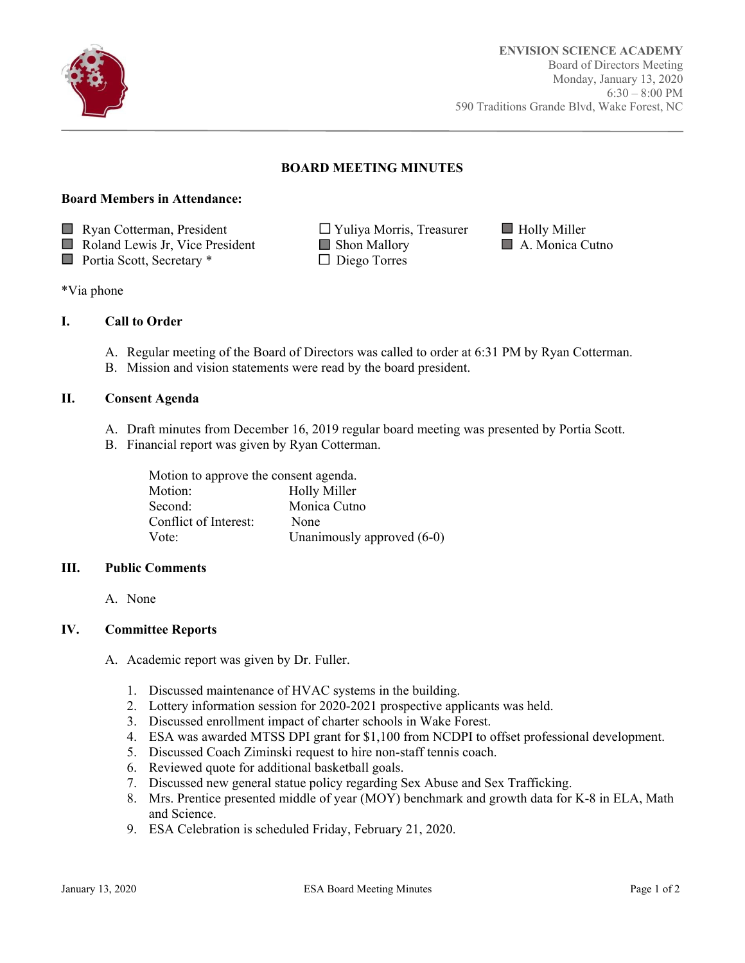

Ī

# **BOARD MEETING MINUTES**

#### **Board Members in Attendance:**

 $\Box$  Ryan Cotterman, President  $\Box$  Yuliya Morris, Treasurer  $\Box$  Holly Miller

Roland Lewis Jr, Vice President Shon Mallory A. Monica Cutno

- Portia Scott, Secretary \* □ Diego Torres
- 
- -

\*Via phone

## **I. Call to Order**

- A. Regular meeting of the Board of Directors was called to order at 6:31 PM by Ryan Cotterman.
- B. Mission and vision statements were read by the board president.

## **II. Consent Agenda**

- A. Draft minutes from December 16, 2019 regular board meeting was presented by Portia Scott.
- B. Financial report was given by Ryan Cotterman.

| Motion to approve the consent agenda. |                            |
|---------------------------------------|----------------------------|
| Motion:                               | <b>Holly Miller</b>        |
| Second:                               | Monica Cutno               |
| Conflict of Interest:                 | None                       |
| Vote:                                 | Unanimously approved (6-0) |

## **III. Public Comments**

A. None

## **IV. Committee Reports**

- A. Academic report was given by Dr. Fuller.
	- 1. Discussed maintenance of HVAC systems in the building.
	- 2. Lottery information session for 2020-2021 prospective applicants was held.
	- 3. Discussed enrollment impact of charter schools in Wake Forest.
	- 4. ESA was awarded MTSS DPI grant for \$1,100 from NCDPI to offset professional development.
	- 5. Discussed Coach Ziminski request to hire non-staff tennis coach.
	- 6. Reviewed quote for additional basketball goals.
	- 7. Discussed new general statue policy regarding Sex Abuse and Sex Trafficking.
	- 8. Mrs. Prentice presented middle of year (MOY) benchmark and growth data for K-8 in ELA, Math and Science.
	- 9. ESA Celebration is scheduled Friday, February 21, 2020.